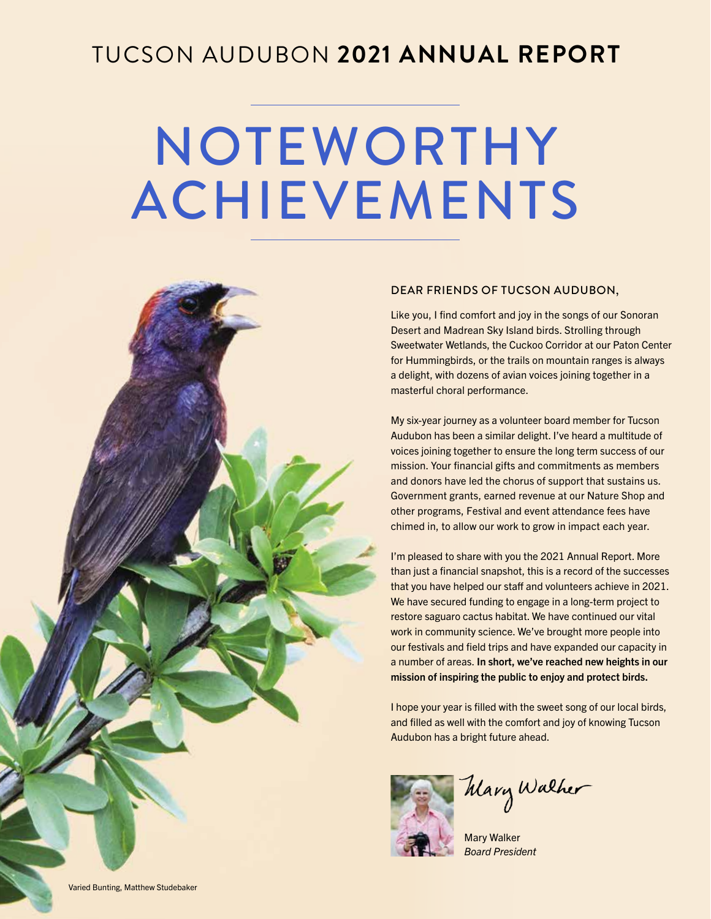## TUCSON AUDUBON **2021 ANNUAL REPORT**

# NOTEWORTHY ACHIEVEMENTS



#### DEAR FRIENDS OF TUCSON AUDUBON,

Like you, I find comfort and joy in the songs of our Sonoran Desert and Madrean Sky Island birds. Strolling through Sweetwater Wetlands, the Cuckoo Corridor at our Paton Center for Hummingbirds, or the trails on mountain ranges is always a delight, with dozens of avian voices joining together in a masterful choral performance.

My six-year journey as a volunteer board member for Tucson Audubon has been a similar delight. I've heard a multitude of voices joining together to ensure the long term success of our mission. Your financial gifts and commitments as members and donors have led the chorus of support that sustains us. Government grants, earned revenue at our Nature Shop and other programs, Festival and event attendance fees have chimed in, to allow our work to grow in impact each year.

I'm pleased to share with you the 2021 Annual Report. More than just a financial snapshot, this is a record of the successes that you have helped our staff and volunteers achieve in 2021. We have secured funding to engage in a long-term project to restore saguaro cactus habitat. We have continued our vital work in community science. We've brought more people into our festivals and field trips and have expanded our capacity in a number of areas. In short, we've reached new heights in our mission of inspiring the public to enjoy and protect birds.

I hope your year is filled with the sweet song of our local birds, and filled as well with the comfort and joy of knowing Tucson Audubon has a bright future ahead.



Mary Walker

Mary Walker *Board President*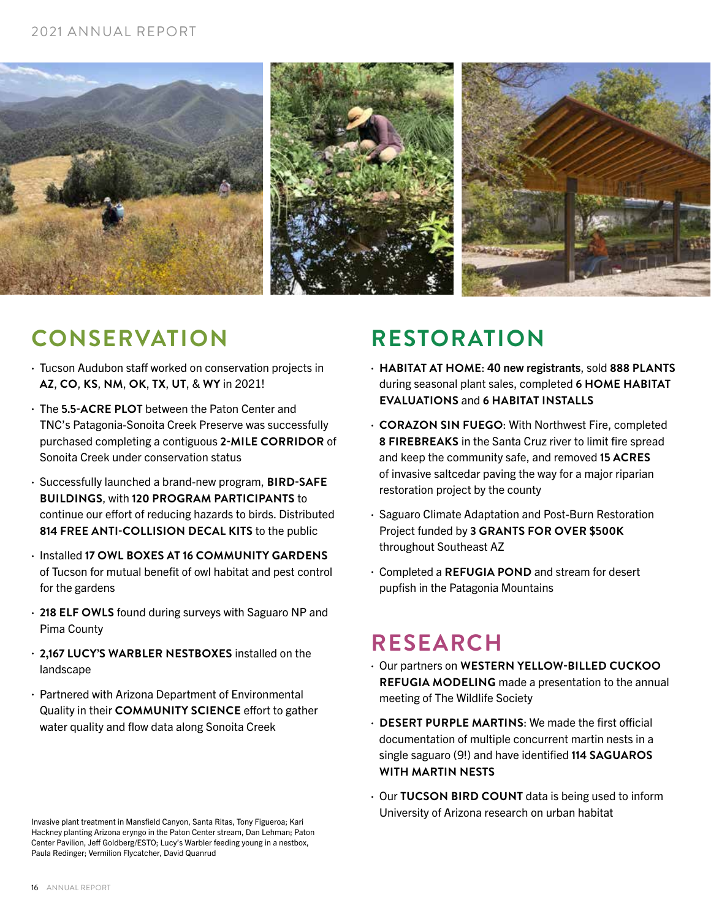#### 2021 ANNUAL REPORT



## **CONSERVATION RESTORATION**

- Tucson Audubon staff worked on conservation projects in **AZ**, **CO**, **KS**, **NM**, **OK**, **TX**, **UT**, & **WY** in 2021!
- The **5.5-ACRE PLOT** between the Paton Center and TNC's Patagonia-Sonoita Creek Preserve was successfully purchased completing a contiguous **2-MILE CORRIDOR** of Sonoita Creek under conservation status
- Successfully launched a brand-new program, **BIRD-SAFE BUILDINGS**, with **120 PROGRAM PARTICIPANTS** to continue our effort of reducing hazards to birds. Distributed **814 FREE ANTI-COLLISION DECAL KITS** to the public
- Installed **17 OWL BOXES AT 16 COMMUNITY GARDENS** of Tucson for mutual benefit of owl habitat and pest control for the gardens
- **218 ELF OWLS** found during surveys with Saguaro NP and Pima County
- **2,167 LUCY'S WARBLER NESTBOXES** installed on the landscape
- Partnered with Arizona Department of Environmental Quality in their **COMMUNITY SCIENCE** effort to gather water quality and flow data along Sonoita Creek

Invasive plant treatment in Mansfield Canyon, Santa Ritas, Tony Figueroa; Kari Hackney planting Arizona eryngo in the Paton Center stream, Dan Lehman; Paton Center Pavilion, Jeff Goldberg/ESTO; Lucy's Warbler feeding young in a nestbox, Paula Redinger; Vermilion Flycatcher, David Quanrud

- **HABITAT AT HOME**: 40 new registrants, sold **888 PLANTS** during seasonal plant sales, completed **6 HOME HABITAT EVALUATIONS** and **6 HABITAT INSTALLS**
- **CORAZON SIN FUEGO**: With Northwest Fire, completed **8 FIREBREAKS** in the Santa Cruz river to limit fire spread and keep the community safe, and removed **15 ACRES** of invasive saltcedar paving the way for a major riparian restoration project by the county
- Saguaro Climate Adaptation and Post-Burn Restoration Project funded by **3 GRANTS FOR OVER \$500K** throughout Southeast AZ
- Completed a **REFUGIA POND** and stream for desert pupfish in the Patagonia Mountains

## **RESEARCH**

- Our partners on **WESTERN YELLOW-BILLED CUCKOO REFUGIA MODELING** made a presentation to the annual meeting of The Wildlife Society
- **DESERT PURPLE MARTINS**: We made the first official documentation of multiple concurrent martin nests in a single saguaro (9!) and have identified **114 SAGUAROS WITH MARTIN NESTS**
- Our **TUCSON BIRD COUNT** data is being used to inform University of Arizona research on urban habitat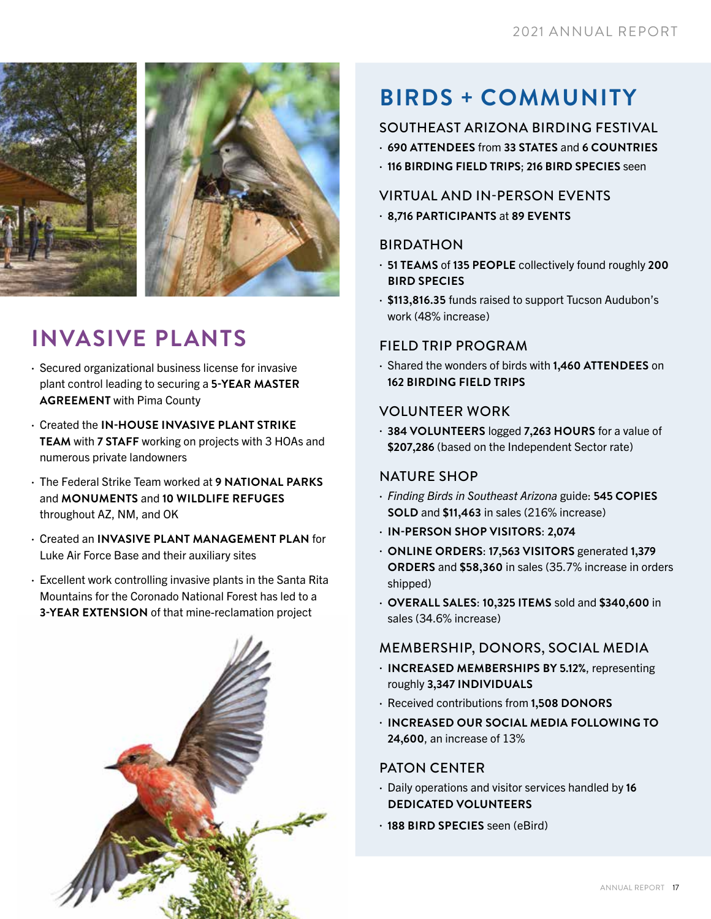![](_page_2_Picture_1.jpeg)

## **INVASIVE PLANTS**

- Secured organizational business license for invasive plant control leading to securing a **5-YEAR MASTER AGREEMENT** with Pima County
- Created the **IN-HOUSE INVASIVE PLANT STRIKE TEAM** with **7 STAFF** working on projects with 3 HOAs and numerous private landowners
- The Federal Strike Team worked at **9 NATIONAL PARKS** and **MONUMENTS** and **10 WILDLIFE REFUGES** throughout AZ, NM, and OK
- Created an **INVASIVE PLANT MANAGEMENT PLAN** for Luke Air Force Base and their auxiliary sites
- Excellent work controlling invasive plants in the Santa Rita Mountains for the Coronado National Forest has led to a **3-YEAR EXTENSION** of that mine-reclamation project

![](_page_2_Picture_8.jpeg)

## **BIRDS + COMMUNITY**

### SOUTHEAST ARIZONA BIRDING FESTIVAL

- **690 ATTENDEES** from **33 STATES** and **6 COUNTRIES**
- **116 BIRDING FIELD TRIPS**; **216 BIRD SPECIES** seen

#### VIRTUAL AND IN-PERSON EVENTS

• **8,716 PARTICIPANTS** at **89 EVENTS**

#### BIRDATHON

- **51 TEAMS** of **135 PEOPLE** collectively found roughly **200 BIRD SPECIES**
- **\$113,816.35** funds raised to support Tucson Audubon's work (48% increase)

#### FIELD TRIP PROGRAM

• Shared the wonders of birds with **1,460 ATTENDEES** on **162 BIRDING FIELD TRIPS**

#### VOLUNTEER WORK

• **384 VOLUNTEERS** logged **7,263 HOURS** for a value of **\$207,286** (based on the Independent Sector rate)

#### NATURE SHOP

- *Finding Birds in Southeast Arizona* guide: **545 COPIES SOLD** and **\$11,463** in sales (216% increase)
- **IN-PERSON SHOP VISITORS**: **2,074**
- **ONLINE ORDERS**: **17,563 VISITORS** generated **1,379 ORDERS** and **\$58,360** in sales (35.7% increase in orders shipped)
- **OVERALL SALES**: **10,325 ITEMS** sold and **\$340,600** in sales (34.6% increase)

#### MEMBERSHIP, DONORS, SOCIAL MEDIA

- **INCREASED MEMBERSHIPS BY 5.12%**, representing roughly **3,347 INDIVIDUALS**
- Received contributions from **1,508 DONORS**
- **INCREASED OUR SOCIAL MEDIA FOLLOWING TO 24,600**, an increase of 13%

#### PATON CENTER

- Daily operations and visitor services handled by **16 DEDICATED VOLUNTEERS**
- **188 BIRD SPECIES** seen (eBird)